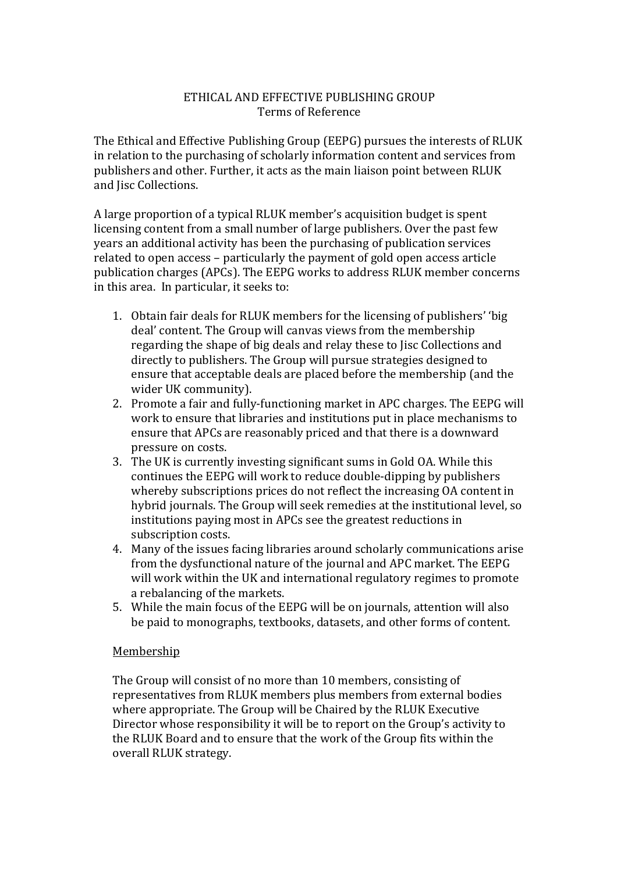## ETHICAL AND EFFECTIVE PUBLISHING GROUP Terms of Reference

The Ethical and Effective Publishing Group (EEPG) pursues the interests of RLUK in relation to the purchasing of scholarly information content and services from publishers and other. Further, it acts as the main liaison point between RLUK and Jisc Collections.

A large proportion of a typical RLUK member's acquisition budget is spent licensing content from a small number of large publishers. Over the past few years an additional activity has been the purchasing of publication services related to open access – particularly the payment of gold open access article publication charges (APCs). The EEPG works to address RLUK member concerns in this area. In particular, it seeks to:

- 1. Obtain fair deals for RLUK members for the licensing of publishers' 'big deal' content. The Group will canvas views from the membership regarding the shape of big deals and relay these to Jisc Collections and directly to publishers. The Group will pursue strategies designed to ensure that acceptable deals are placed before the membership (and the wider UK community).
- 2. Promote a fair and fully-functioning market in APC charges. The EEPG will work to ensure that libraries and institutions put in place mechanisms to ensure that APCs are reasonably priced and that there is a downward pressure on costs.
- 3. The UK is currently investing significant sums in Gold OA. While this continues the EEPG will work to reduce double-dipping by publishers whereby subscriptions prices do not reflect the increasing OA content in hybrid journals. The Group will seek remedies at the institutional level, so institutions paying most in APCs see the greatest reductions in subscription costs.
- 4. Many of the issues facing libraries around scholarly communications arise from the dysfunctional nature of the journal and APC market. The EEPG will work within the UK and international regulatory regimes to promote a rebalancing of the markets.
- 5. While the main focus of the EEPG will be on journals, attention will also be paid to monographs, textbooks, datasets, and other forms of content.

## Membership

The Group will consist of no more than 10 members, consisting of representatives from RLUK members plus members from external bodies where appropriate. The Group will be Chaired by the RLUK Executive Director whose responsibility it will be to report on the Group's activity to the RLUK Board and to ensure that the work of the Group fits within the overall RLUK strategy.